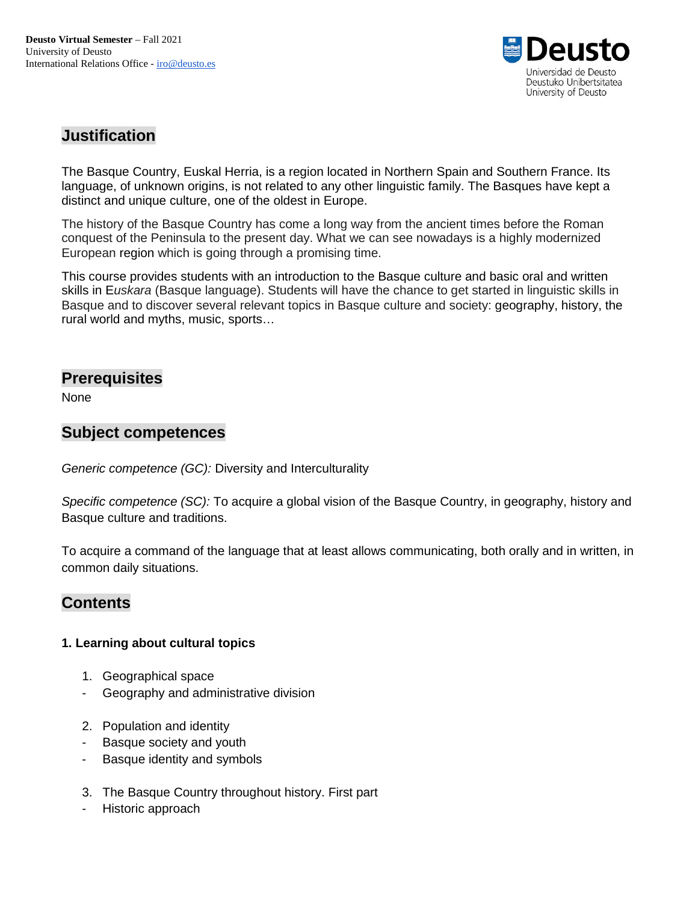

## **Justification**

The Basque Country, Euskal Herria, is a region located in Northern Spain and Southern France. Its language, of unknown origins, is not related to any other linguistic family. The Basques have kept a distinct and unique culture, one of the oldest in Europe.

The history of the Basque Country has come a long way from the ancient times before the Roman conquest of the Peninsula to the present day. What we can see nowadays is a highly modernized European region which is going through a promising time.

This course provides students with an introduction to the Basque culture and basic oral and written skills in E*uskara* (Basque language). Students will have the chance to get started in linguistic skills in Basque and to discover several relevant topics in Basque culture and society: geography, history, the rural world and myths, music, sports…

### **Prerequisites**

None

### **Subject competences**

*Generic competence (GC):* Diversity and Interculturality

*Specific competence (SC):* To acquire a global vision of the Basque Country, in geography, history and Basque culture and traditions.

To acquire a command of the language that at least allows communicating, both orally and in written, in common daily situations.

## **Contents**

#### **1. Learning about cultural topics**

- 1. Geographical space
- Geography and administrative division
- 2. Population and identity
- Basque society and youth
- Basque identity and symbols
- 3. The Basque Country throughout history. First part
- Historic approach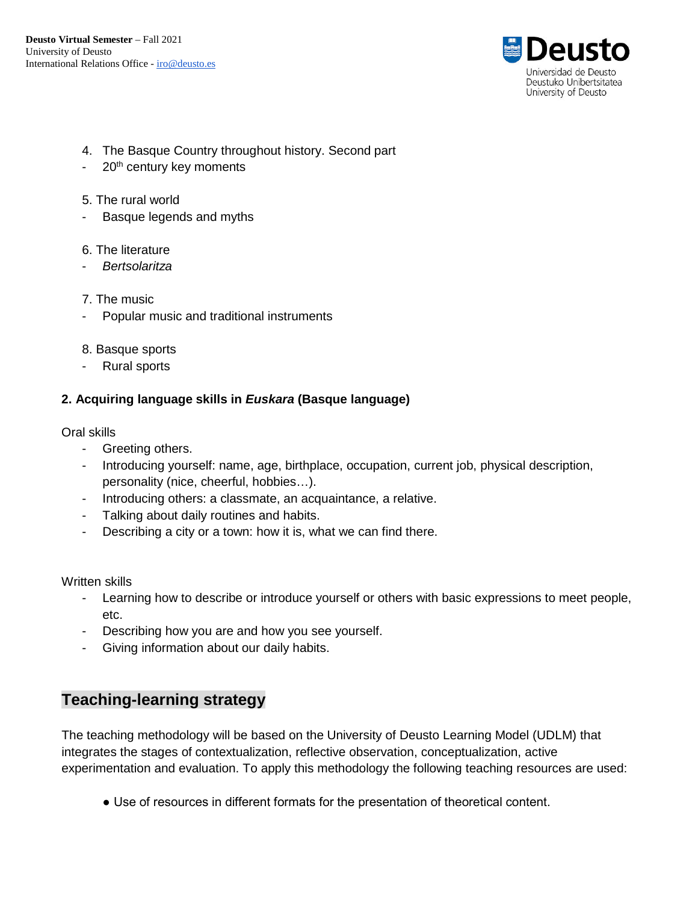

- 4. The Basque Country throughout history. Second part
- 20<sup>th</sup> century key moments
- 5. The rural world
- Basque legends and myths
- 6. The literature
- *Bertsolaritza*
- 7. The music
- Popular music and traditional instruments
- 8. Basque sports
- Rural sports

### **2. Acquiring language skills in** *Euskara* **(Basque language)**

Oral skills

- Greeting others.
- Introducing yourself: name, age, birthplace, occupation, current job, physical description, personality (nice, cheerful, hobbies…).
- Introducing others: a classmate, an acquaintance, a relative.
- Talking about daily routines and habits.
- Describing a city or a town: how it is, what we can find there.

Written skills

- Learning how to describe or introduce yourself or others with basic expressions to meet people, etc.
- Describing how you are and how you see yourself.
- Giving information about our daily habits.

# **Teaching-learning strategy**

The teaching methodology will be based on the University of Deusto Learning Model (UDLM) that integrates the stages of contextualization, reflective observation, conceptualization, active experimentation and evaluation. To apply this methodology the following teaching resources are used:

● Use of resources in different formats for the presentation of theoretical content.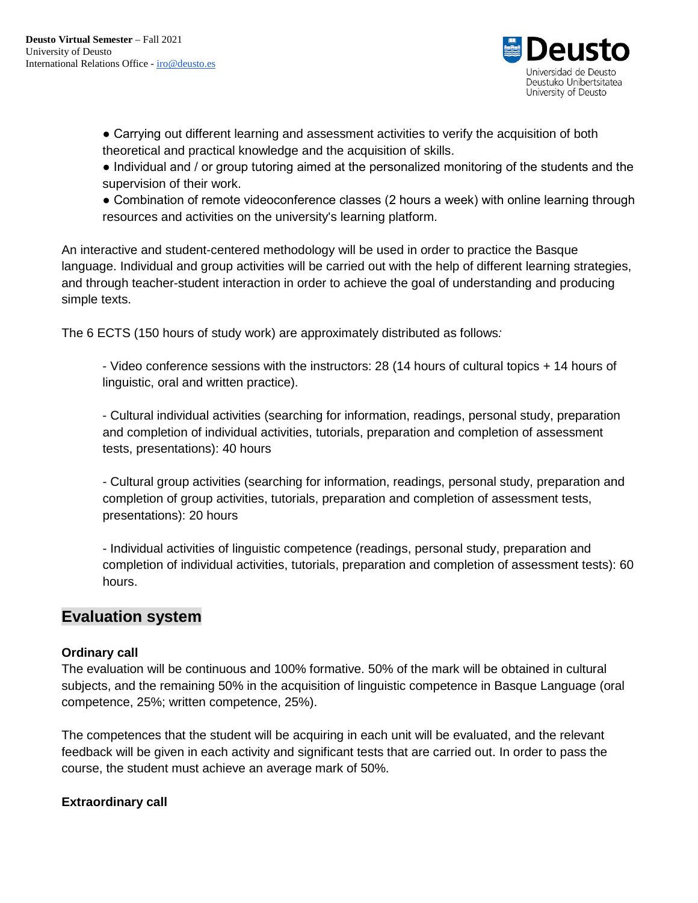

• Carrying out different learning and assessment activities to verify the acquisition of both theoretical and practical knowledge and the acquisition of skills.

● Individual and / or group tutoring aimed at the personalized monitoring of the students and the supervision of their work.

● Combination of remote videoconference classes (2 hours a week) with online learning through resources and activities on the university's learning platform.

An interactive and student-centered methodology will be used in order to practice the Basque language. Individual and group activities will be carried out with the help of different learning strategies, and through teacher-student interaction in order to achieve the goal of understanding and producing simple texts.

The 6 ECTS (150 hours of study work) are approximately distributed as follows*:*

- Video conference sessions with the instructors: 28 (14 hours of cultural topics + 14 hours of linguistic, oral and written practice).

- Cultural individual activities (searching for information, readings, personal study, preparation and completion of individual activities, tutorials, preparation and completion of assessment tests, presentations): 40 hours

- Cultural group activities (searching for information, readings, personal study, preparation and completion of group activities, tutorials, preparation and completion of assessment tests, presentations): 20 hours

- Individual activities of linguistic competence (readings, personal study, preparation and completion of individual activities, tutorials, preparation and completion of assessment tests): 60 hours.

## **Evaluation system**

#### **Ordinary call**

The evaluation will be continuous and 100% formative. 50% of the mark will be obtained in cultural subjects, and the remaining 50% in the acquisition of linguistic competence in Basque Language (oral competence, 25%; written competence, 25%).

The competences that the student will be acquiring in each unit will be evaluated, and the relevant feedback will be given in each activity and significant tests that are carried out. In order to pass the course, the student must achieve an average mark of 50%.

### **Extraordinary call**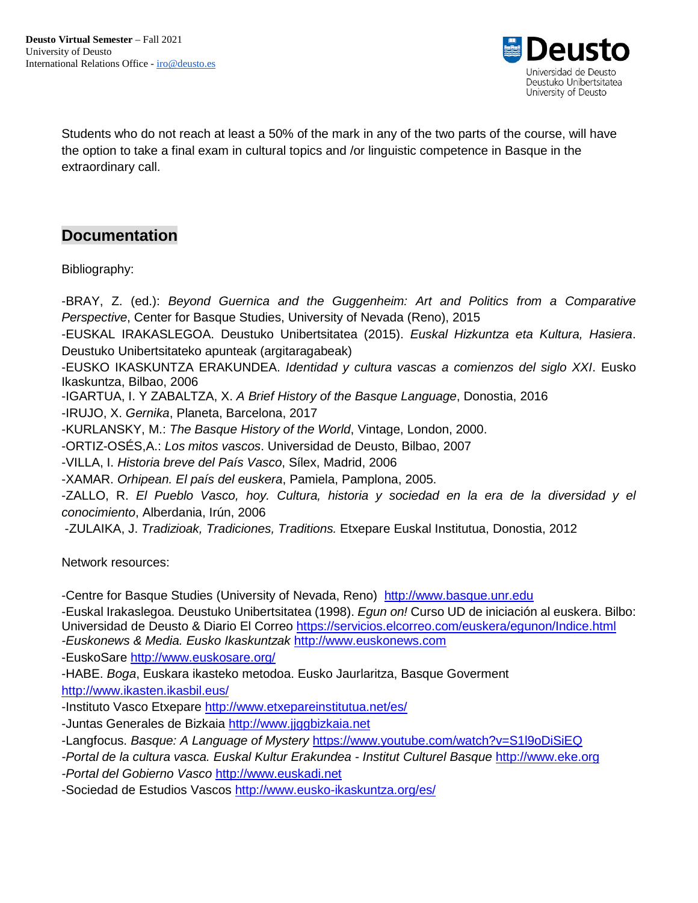

Students who do not reach at least a 50% of the mark in any of the two parts of the course, will have the option to take a final exam in cultural topics and /or linguistic competence in Basque in the extraordinary call.

# **Documentation**

Bibliography:

-BRAY, Z. (ed.): *Beyond Guernica and the Guggenheim: Art and Politics from a Comparative Perspective*, Center for Basque Studies, University of Nevada (Reno), 2015 -EUSKAL IRAKASLEGOA. Deustuko Unibertsitatea (2015). *Euskal Hizkuntza eta Kultura, Hasiera*. Deustuko Unibertsitateko apunteak (argitaragabeak) -EUSKO IKASKUNTZA ERAKUNDEA. *Identidad y cultura vascas a comienzos del siglo XXI*. Eusko Ikaskuntza, Bilbao, 2006 -IGARTUA, I. Y ZABALTZA, X. *A Brief History of the Basque Language*, Donostia, 2016 -IRUJO, X. *Gernika*, Planeta, Barcelona, 2017 -KURLANSKY, M.: *The Basque History of the World*, Vintage, London, 2000. -ORTIZ-OSÉS,A.: *Los mitos vascos*. Universidad de Deusto, Bilbao, 2007 -VILLA, I. *Historia breve del País Vasco*, Sílex, Madrid, 2006 -XAMAR. *Orhipean. El país del euskera*, Pamiela, Pamplona, 2005. -ZALLO, R. *El Pueblo Vasco, hoy. Cultura, historia y sociedad en la era de la diversidad y el conocimiento*, Alberdania, Irún, 2006 -ZULAIKA, J. *Tradizioak, Tradiciones, Traditions.* Etxepare Euskal Institutua, Donostia, 2012

Network resources:

-Centre for Basque Studies (University of Nevada, Reno) [http://www.basque.unr.edu](http://www.basque.unr.edu/)

-Euskal Irakaslegoa. Deustuko Unibertsitatea (1998). *Egun on!* Curso UD de iniciación al euskera. Bilbo: Universidad de Deusto & Diario El Correo <https://servicios.elcorreo.com/euskera/egunon/Indice.html> *-Euskonews & Media. Eusko Ikaskuntzak* [http://www.euskonews.com](http://www.euskonews.com/)

-EuskoSare<http://www.euskosare.org/>

-HABE. *Boga*, Euskara ikasteko metodoa. Eusko Jaurlaritza, Basque Goverment

<http://www.ikasten.ikasbil.eus/>

-Instituto Vasco Etxepare<http://www.etxepareinstitutua.net/es/>

-Juntas Generales de Bizkaia [http://www.jjggbizkaia.net](http://www.jjggbizkaia.net/)

-Langfocus. *Basque: A Language of Mystery* <https://www.youtube.com/watch?v=S1l9oDiSiEQ>

*-Portal de la cultura vasca. Euskal Kultur Erakundea - Institut Culturel Basque* [http://www.eke.org](http://www.eke.org/)

*-Portal del Gobierno Vasco* [http://www.euskadi.net](http://www.euskadi.net/)

-Sociedad de Estudios Vascos<http://www.eusko-ikaskuntza.org/es/>